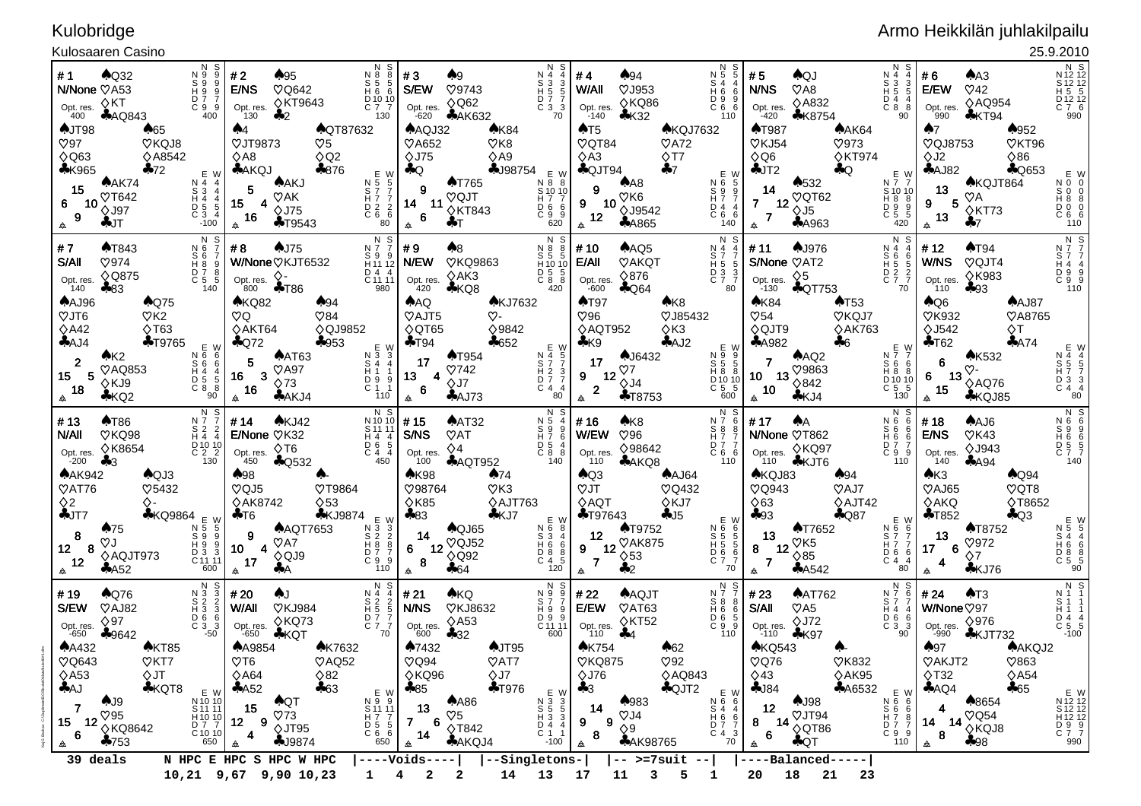## Kulobridge

Kaj G Backas C:\Duplimate\BOS\kulo40\data\kulo40#1.dlm

Kai G Bac

## Kulosaaren Casino

Armo Heikkilän juhlakilpailu

| Kulosaaren Casino                                                                                                                   |                                                                                               |                                                                                                    |                                                                                                            |                                                         |                                                                           |                                                                                                                                 |                                                                       |                                                                       |                                                                                                                  |                                                                           |                                                                   |                                                                                                      |                                                                                    |                                                                                             | 25.9.2010                                                                                                                                                 |
|-------------------------------------------------------------------------------------------------------------------------------------|-----------------------------------------------------------------------------------------------|----------------------------------------------------------------------------------------------------|------------------------------------------------------------------------------------------------------------|---------------------------------------------------------|---------------------------------------------------------------------------|---------------------------------------------------------------------------------------------------------------------------------|-----------------------------------------------------------------------|-----------------------------------------------------------------------|------------------------------------------------------------------------------------------------------------------|---------------------------------------------------------------------------|-------------------------------------------------------------------|------------------------------------------------------------------------------------------------------|------------------------------------------------------------------------------------|---------------------------------------------------------------------------------------------|-----------------------------------------------------------------------------------------------------------------------------------------------------------|
| #1<br>$\bigwedge$ Q32<br>N/None VA53<br>$\diamond$ KT<br>Opt. res.<br>AQQ843<br>400                                                 | N S<br>N 9 9<br>S9<br>H 9<br>- 9<br>D 7 7<br>C 9 9<br>400                                     | #2<br>$\clubsuit 95$<br>E/NS<br><b>VQ642</b><br><b>◇KT9643</b><br>Opt. res.<br>$+2$<br>130         | N<br>N 8<br>S 5 5<br>H 6 6<br>D 10 10<br>C 7 7<br>130                                                      | #3<br>S/EW<br>Opt. res.<br>$-620$                       | $\clubsuit 9$<br>♡9743<br>$\Diamond$ Q62<br><b>↑AK632</b>                 | N.<br>-S<br>N 4<br>S 3 3<br>H 5 5<br>D 7 7<br>C 3 3<br>70                                                                       | #4<br>W/All<br>Opt. res.<br>$-140$                                    | $\clubsuit 94$<br><b>VJ953</b><br>$\Diamond$ KQ86<br>$*K32$           | N<br>N 5<br>S 4<br>H 6<br>D 9<br>C <sub>6</sub><br>6<br>110                                                      | #5<br>N/NS<br>Opt. res.<br>$-420$                                         | AQJ<br>$\heartsuit$ A8<br><b>◇A832</b><br><b>*K8754</b>           | N S<br>N 4<br>SЗ<br>-3<br>H 5 5<br>D 4 4<br>C 8 8<br>90                                              | #6<br>E/EW<br>Opt. res.<br>990                                                     | AA3<br>$\heartsuit$ 42<br>$\diamond$ AQ954<br>$\clubsuit$ KT94                              | N S<br>N 12 12<br>S 12 12<br>H 5 5 12 12<br>C 7 6<br>C 990                                                                                                |
| <b>AJT98</b><br>A65<br>VKQJ8<br>$\heartsuit$ 97<br>$\Diamond$ Q63<br><b>◇A8542</b><br><b>*K965</b><br>$-72$<br>$A$ AK74<br>15       | E W<br>N 4 4                                                                                  | A <sup>4</sup><br><b>VJT9873</b><br>$\diamond$ A8<br><b>AAKQJ</b><br><b>AAKJ</b><br>5              | <b>AQT87632</b><br>$\heartsuit$<br>$\Diamond$ Q2<br>$*876$<br>E W<br>N 5 5                                 | $A\text{AQJ32}$<br><b>VA652</b><br>$\Diamond$ J75<br>♣Q | A K84<br>$\sqrt{2}$ K <sub>8</sub><br>$\diamond$ A9<br>$-198754$<br>AT765 | E W<br>N 8 8                                                                                                                    | AT5<br>$\heartsuit$ QT84<br>$\diamond$ A3<br>$\clubsuit$ QJT94<br>9   | <b>AKQJ7632</b><br>$\heartsuit$ A72<br>$\Diamond$ T7<br>♣7<br>AAB     | E W<br>N 6<br>5                                                                                                  | <b>AT987</b><br>$\heartsuit$ KJ54<br>$\Diamond$ Q6<br>$+JT2$<br>14        | AAK64<br>$\heartsuit$ 973<br>$\Diamond$ KT974<br>♣ℚ<br>$*532$     | E W<br>N 7 7<br>S 10 10                                                                              | $\clubsuit$ 7<br><b>VQJ8753</b><br>$\Diamond$ J2<br>$A$ <sub>4</sub> $A$ J82<br>13 | $*952$<br>VKT96<br>$\Diamond$ 86<br>$A$ Q653<br><b>AKQJT864</b>                             |                                                                                                                                                           |
| <b>VT642</b><br>10<br>6<br>$\diamond$ J97<br>9<br>$+JT$<br>                                                                         | $\overline{S}$ 3<br>H 4<br>$\begin{smallmatrix} 0 & 5 \\ C & 3 \end{smallmatrix}$<br>$-100$   | $\heartsuit$ AK<br>15<br>$\overline{\mathbf{4}}$<br>$\Diamond$ J75<br>16<br><b>+T9543</b><br>₳     | S 7 7<br>H 7 7<br>$\begin{smallmatrix} 0 & 2 & 2 \\ C & 6 & 6 \end{smallmatrix}$<br>80                     | 11<br>14<br>6<br>₳                                      | VQJT<br><b>◇KT843</b><br>$+T$                                             | $\begin{bmatrix} 8 & 10 & 10 \\ 1 & 7 & 7 \\ 0 & 6 & 6 \\ 0 & 9 & 9 \end{bmatrix}$<br>620                                       | 9<br>12<br>灥                                                          | <b>AA865</b>                                                          | $\begin{array}{ccc} S & 9 & 9 \\ H & 7 & 7 \end{array}$<br>D 4<br>Č6<br>-6<br>140                                | 7 <sup>7</sup><br>12<br>7<br>厽                                            | VQT62<br>$\Diamond$ J5<br><b>AA963</b>                            | H 8 8<br>D 9 9<br>C 5 5<br>420                                                                       | 5<br>9<br>13<br>会                                                                  | $\heartsuit$ A<br>$\Diamond$ KT73<br>$+7$                                                   | N 0 0<br>S 0 0 0<br>H 0 8 0 0<br>D 0 6 6<br>110<br>110                                                                                                    |
| <b>AT843</b><br>#7<br>$\heartsuit$ 974<br>S/All<br><b>◇ Q875</b><br>Opt. res.<br>140<br>$\clubsuit$ 83                              | N S<br>N 6<br>H 8<br>D 7 8<br>$\bar{C}$ 5<br>140                                              | #8<br>$A$ J75<br>W/None VKJT6532<br>♦-<br>Opt. res.<br>$800$ $\clubsuit$ T86                       | N S<br>$N$ 7 $\bar{7}$<br>S 9<br>H 11 12<br>D 4 4<br>$C$ 11 11<br>980                                      | #9<br>N/EW<br>Opt. res.<br>420                          | A8<br><b>VKQ9863</b><br>$\diamond$ AK3<br>KQ8                             | N S<br>N 8<br>S5<br>H <sub>10</sub> 10<br>D 5 5<br>C 8 8<br>420                                                                 | # 10<br>E/All<br>Opt. res.<br>$-600$                                  | AAO5<br>VAKQT<br>$\Diamond$ 876<br>$\clubsuit$ Q64                    | N<br>$\begin{array}{c}\nN & 4 \\ S & 7 \\ H & 5\n\end{array}$<br>D 3 3<br>C 7 7<br>80                            | # 11<br>S/None VAT2<br>Opt. res.<br>$-130$                                | $A$ J976<br>$\lozenge$ 5<br>$*$ QT753                             | N S<br>N 4<br>H <sub>5</sub><br>$D$ 2 2<br>C 7 7<br>70                                               | #12<br>W/NS<br>Opt. res.<br>110                                                    | $\spadesuit$ T94<br>VQJT4<br><b>◇K983</b><br>$+93$                                          | N S<br>N 7 7<br>S 7 7<br>H 4 4<br>D 9 9<br>C 9 9<br>110                                                                                                   |
| <b>AAJ96</b><br>$\bigwedge$ Q75<br>$\heartsuit$ JT6<br>$\heartsuit$ K2<br>$\Diamond$ T63<br>$\diamond$ A42<br><b>+T9765</b><br>AAJ4 | E W                                                                                           | AKQ82<br>$\heartsuit Q$<br>$\diamond$ AKT64<br>$A$ Q72                                             | $\clubsuit 94$<br>$\heartsuit$ 84<br>$\Diamond$ QJ9852<br>$+953$<br>E W                                    | $A$ AQ<br>VAJT5<br>$\Diamond$ QT65<br>$+$ T94           | <b>AKJ7632</b><br>♡-<br>$\Diamond$ 9842<br>$+652$                         | E W                                                                                                                             | AT97<br>$\heartsuit$ 96<br>♦AQT952<br>$*K9$                           | A K8<br>VJ85432<br>$\Diamond$ K3<br>$A$ AJ2                           | E W                                                                                                              | A K84<br>$\heartsuit$ 54<br>♦QJT9<br>A4982                                | $\triangle$ T53<br>VKQJ7<br>$\diamond$ AK763<br>♣6                | E W                                                                                                  | $\bigwedge$ Q6<br><b>VK932</b><br><b>◇J542</b><br>$+T62$                           | $A$ AJ87<br><b>VA8765</b><br>$\Diamond$ T<br>$A$ A74                                        | E W                                                                                                                                                       |
| ♠К2<br><b>VAQ853</b><br>5<br>15<br>♦KJ9<br>18<br>KQ2<br>₳                                                                           | N 6<br>6<br>S <sub>6</sub><br>6<br>H 4<br>D 5<br>C <sub>8</sub><br>8<br>90                    | AAT63<br>5<br>$\heartsuit$ A97<br>3<br>16<br>$\Diamond$ 73<br>16<br>$A$ AKJ4<br>₳                  | N 3 3<br>S <sub>4</sub><br>H 1<br>D 9<br>9<br>C <sub>1</sub><br>110                                        | 17<br>13<br>4<br>6<br>₳                                 | $\spadesuit$ T954<br>$\heartsuit$ 742<br>$\Diamond$ J7<br>$A$ AJ $73$     | N 4<br>$\begin{array}{ccc} S & 7 & 7 \\ H & 2 & 3 \\ D & 7 & 7 \end{array}$<br>$\overline{C}$ 4<br>80                           | 17<br>9<br>$\overline{2}$<br>姦                                        | <b>AJ6432</b><br>$\heartsuit$ 7<br>12 $\bigcirc$ J4<br><b>*T8753</b>  | $\begin{array}{ccc}\nN & 9 & 9 \\ S & 5 & 5\n\end{array}$<br>H 8 8<br>$D$ 10 10<br>$C_{600}$                     | 7<br>$10 \quad 13$<br>10<br>会                                             | A AQ2<br>♡9863<br>$\Diamond 842$<br>KJ4                           | N 7 7<br>S 6<br>-6<br>H 8 8<br>$D$ 10 10<br>C 5 5<br>130                                             | 6<br>6<br>15<br>▲                                                                  | <b>AK532</b><br>$\heartsuit$ -<br>$13 \overset{\checkmark}{\diamond}$ AQ76<br><b>*KQJ85</b> | $N\overline{4}$<br>S <sub>5</sub> 5<br>H 7 7<br>D 3 3<br>C 4 4<br>80                                                                                      |
| <b>AT86</b><br>#13<br>N/All<br>$\heartsuit$ KQ98<br><b>◇K8654</b><br>Opt. res.<br>$-200$<br>$\clubsuit 3$                           | S <sub>2</sub><br>H 4<br>D 10 10<br>C 2 2<br>130                                              | AKJ42<br># 14<br>E/None VK32<br>Opt. res. $\Diamond$ T6<br>$\clubsuit$ Q532<br>450                 | N S<br>N 10 10<br><b>S</b> 11 11<br>H44<br>D 6 5<br>C 4 4<br>450                                           | #15<br>S/NS<br>Opt. res.<br>100                         | AAT32<br>$\heartsuit$ AT<br>$\diamond$ 4<br><b>AAQT952</b>                | N<br>N 5<br>$\begin{array}{ccc}\nS & \bar{9} & \bar{9} \\ H & \bar{7} & 6\n\end{array}$<br>D 5<br>C8<br>140                     | #16<br>W/EW<br>Opt. res.<br>110                                       | A K8<br>$\heartsuit$ 96<br>♦98642<br>AAKQ8                            | N<br>N 7<br>S 8<br>H 7<br>D 7<br>C66<br>110                                                                      | # 17<br>N/None VT862<br>Opt. res. $\Diamond$ KQ97<br>$110$ $\bullet$ KJT6 | <b>AA</b>                                                         | N S<br>N 6<br>S 6<br>H 6<br>6<br>D 7<br>C <sub>9</sub><br>110                                        | #18<br>E/NS<br>Opt. res.<br>່ 140                                                  | $A$ AJ6<br>$\sqrt{6}$ K43<br><b>◇J943</b><br>$A$ 484                                        | N S S<br>N S S S S S S S 5 5 7<br>D C 7 1 4 0                                                                                                             |
| <b>AAK942</b><br>AQJ3<br>$\heartsuit$ AT76<br>$\heartsuit$ 5432<br>$\lozenge$ 2<br>◇-<br>$+JT7$<br><b>*KQ9864</b>                   | $\begin{array}{c} 4 \\ N \end{array}$ $\begin{array}{c} E \\ S \end{array}$                   | $*98$<br>VQJ5<br><b>◇AK8742</b><br>$+T6$                                                           | <b>VT9864</b><br>$\lozenge$ 53<br><b>*KJ9874</b><br>E<br>-3                                                | <b>AK98</b><br>♡98764<br>$\Diamond$ K85<br>$*83$        | A74<br>$\heartsuit$ K3<br>◇AJT763<br>$*KJ7$                               | E W<br>$N\overline{6}$ 8                                                                                                        | AQ3<br>$\heartsuit$ JT<br>$\diamond$ AQT<br>$\clubsuit$ T97643        | $A$ AJ64<br><b>VQ432</b><br>$\Diamond$ KJ7<br>$-15$                   |                                                                                                                  | <b>AKQJ83</b><br>$\heartsuit$ Q943<br>$\Diamond$ 63<br>$+93$              | $\clubsuit 94$<br>$\heartsuit$ AJ7<br>$\diamond$ AJT42<br>$A$ Q87 | E W<br>$N \overline{6}$ 6                                                                            | A K3<br>$\heartsuit$ AJ65<br>$\Diamond$ AKQ<br>$+T852$                             | $\spadesuit$ Q94<br>$\sqrt{Q}$<br><b>◇T8652</b><br>$A$ Q3                                   |                                                                                                                                                           |
| $\clubsuit$ 75<br>8<br>VJ<br>12 <sub>2</sub><br>8<br>◇AQJT973<br>12<br>$+A52$<br>厽                                                  | S <sub>9</sub><br>H 9<br>D <sub>3</sub><br>3<br>$\frac{6}{600}$                               | <b>AAQT7653</b><br>9<br>$\heartsuit$ A7<br>10 <sub>1</sub><br>4<br>$\Diamond QJ9$<br>17<br>♣А<br>厽 | $\begin{array}{c}\n 2 \\  2 \\  3 \\  4\n \end{array}$<br>2<br>8<br>D 7 7<br>$\bar{C}$ 9<br>- 9<br>110     | 14<br>12<br>6<br>8<br>厽                                 | AQJ65<br>VQJ52<br>$\diamond$ Q92<br>$+64$                                 | $534$<br>$H66$<br>D 8 8<br>C 4 5<br>120                                                                                         | 12<br>$12\frac{6}{6}$ 12 $\frac{6}{6}$ 53<br>9<br>$\overline{7}$<br>厽 | <b>AT9752</b><br>$\heartsuit$ AK875<br>♣2                             | N 6 F<br>S 5 5<br>H 5 5<br>H 5 2<br>$\begin{array}{c} 1656 \\ D66 \\ C77 \end{array}$<br>70                      | 13<br>8<br>12<br>$\overline{7}$<br>佥                                      | $\triangle$ T7652<br>$\sqrt{0}$ K5<br>$\Diamond 85$<br>A442       | S 7 7<br>H 7 7<br>D 6 6<br>C 4 4<br>80                                                               | 13<br>17<br>6<br>4<br>▲                                                            | <b>AT8752</b><br>$\heartsuit$ 972<br>$\diamond$ 7<br>KJ76                                   |                                                                                                                                                           |
| $\bigwedge$ Q76<br>#19<br>S/EW<br>$\heartsuit$ AJ82<br>$\Diamond$ 97<br>Opt. res.<br>$-650$<br>$*9642$                              | N<br>N 3<br>S 2<br>H 3<br>$\begin{smallmatrix} 0 & 6 & 6 \\ 3 & 3 \end{smallmatrix}$<br>$-50$ | # 20<br>AJ.<br>W/All<br><b>VKJ984</b><br>$\Diamond$ KQ73<br>Opt. res.<br>$*KQT$<br>$-650$          | N<br>N 4<br>$5^2$<br>$\overline{C}$ $\overline{7}$ $\overline{7}$ $\overline{7}$<br>70                     | #21<br>N/NS<br>Opt. res.<br>$600$                       | <b>AKQ</b><br><b>VKJ8632</b><br>$\diamond$ A53<br>$-32$                   | N<br>N 9<br>$\begin{array}{cc} S & 7 \\ H & 9 \end{array}$<br>-9<br>$\begin{array}{c} 19 & 9 \\ C & 11 & 11 \\ 600 \end{array}$ | # 22<br>E/EW<br>Opt. res.<br>$^{\circ}$ 110                           | <b>AAQJT</b><br>VAT63<br>$\Diamond$ KT52<br>$+4$                      | N<br>$\begin{array}{c} 0.7 \\ 0.7 \\ 0.6 \end{array}$<br>C <sub>9</sub><br>$\frac{5}{9}$<br>110                  | #23<br>S/All<br>Opt. res.<br>$-110$                                       | <b>AAT762</b><br>$\heartsuit$ A5<br>$\Diamond$ J72<br>$*K97$      | N S<br>N 7 6<br>S77<br>H 4 4<br>$\begin{smallmatrix} 0 & 6 & 6 \\ C & 3 & 3 \end{smallmatrix}$<br>90 | #24<br>W/None 797<br>Opt. res.<br>$-990$                                           | AT3<br>$\Diamond$ 976<br><b>*KJT732</b>                                                     | N S<br>N 1 1<br>$\begin{array}{c} 8 & 1 & 1 \\ H & 1 & 1 \end{array}$<br>$\begin{array}{rr} \text{D} & 4 & 4 \\ \text{C} & 5 & 5 \\ -100 & & \end{array}$ |
| <b>AA432</b><br>AKT85<br>$\heartsuit$ Q643<br>$\sqrt{0}$ KT7<br>$\diamond$ A53<br>$\Diamond$ JT<br>♣AJ<br>$*$ KQT8                  |                                                                                               | <b>AA9854</b><br>$\heartsuit$ T6<br>$\diamond$ A64<br>A52                                          | <b>AK7632</b><br>$\heartsuit$ AQ52<br>$\Diamond$ 82<br>$+63$                                               | $*7432$<br>$\heartsuit$ Q94<br>$\Diamond$ KQ96<br>$*85$ | $\bigwedge$ JT95<br>$\sqrt{0}$ AT7<br>$\Diamond$ J7<br>$+T976$            |                                                                                                                                 | <b>AK754</b><br><b>VKQ875</b><br>$\Diamond$ J76<br>$+3$               | $*62$<br>$\heartsuit$ 92<br>$\diamond$ AQ843<br>$\bigtriangleup$ QJT2 |                                                                                                                  | <b>AKQ543</b><br>$\heartsuit$ Q76<br>$\diamond$ 43<br>$-184$              | <b>VK832</b><br>$\diamond$ AK95<br><b>A6532</b>                   |                                                                                                      | A97<br>VAKJT2<br>$\Diamond$ T32<br>A Q4                                            | <b>AAKQJ2</b><br>$\heartsuit$ 863<br>$\diamond$ A54<br>$+65$                                |                                                                                                                                                           |
| AJ9<br>7 <sup>7</sup><br>15 $12\begin{array}{l}\n\sqrt{95}\\ 6\n\end{array}$<br>6<br>$*753$<br>₳                                    | E W<br>N 10 10<br>S 11 11<br>$H$ 10 10<br>D 7 7<br>C 10 10<br>650                             | ♠QT<br>15<br>$\heartsuit$ 73<br>12<br>9<br>♦JT95<br>4<br><b>AJ9874</b><br>◬                        | E W<br>$N_{S11}^{00} = N_{S11}^{00}$<br>$N_{S11}^{00} = N_{S1}^{00}$<br>$N_{S1}^{00} = N_{S1}^{00}$<br>650 | 13<br>$\overline{7}$<br>6<br>14<br>₳                    | $A$ A86<br>$\heartsuit$ 5<br><b>◇T842</b><br><b>AAKQJ4</b>                | D 4 4<br>$\overline{C}$ 1 1<br>$-100$                                                                                           | 14<br>9<br>9<br>8<br>₳                                                | ♠983<br>$\heartsuit$ J4<br>$\diamond$ 9<br><b>AAK98765</b>            | E W<br>$N_{544}$<br>S <sub>44</sub><br>H <sub>66</sub><br>$\begin{array}{c} 0.7 \\ 0.7 \\ 0.4 \end{array}$<br>70 | 12<br>14<br>8<br>6<br>₳                                                   | <b>AJ98</b><br><b>VJT94</b><br>◇QT86<br>$\clubsuit$ QT            | E W<br>N 6 6 6<br>S H 7 7 9<br>D 7 9 9<br>110                                                        | 4<br>14<br>8<br>₳                                                                  | ♠8654<br><sup>4</sup> 14 ♡Q54<br>。14 ◇KQJ8<br>$+98$                                         | E W<br>N 12 12<br>S 12 12<br>H 12 12<br>D 0 7<br>O 990                                                                                                    |
| 39 deals<br>N HPC E HPC S HPC W HPC<br>----Voids----<br>-- >=7suit --<br>----Balanced-----<br> --Singletons-                        |                                                                                               |                                                                                                    |                                                                                                            |                                                         |                                                                           |                                                                                                                                 |                                                                       |                                                                       |                                                                                                                  |                                                                           |                                                                   |                                                                                                      |                                                                                    |                                                                                             |                                                                                                                                                           |

 **10,21 9,67 9,90 10,23 1 4 2 2 14 13 17 11 3 5 1 20 18 21 23**

20 18 21 23